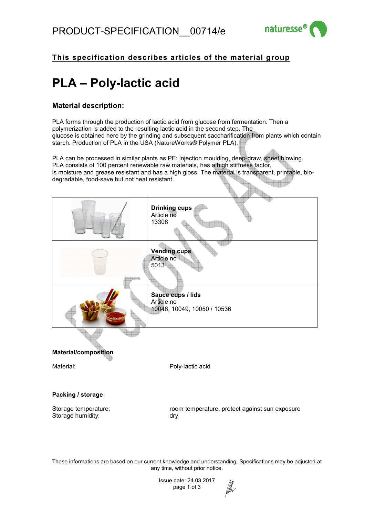

**The Contract of the Contract of the Contract of the Contract of The Contract of The Contract of The Contract o** 

## **This specification describes articles of the material group**

# **PLA – Poly-lactic acid**

### **Material description:**

PLA forms through the production of lactic acid from glucose from fermentation. Then a polymerization is added to the resulting lactic acid in the second step. The glucose is obtained here by the grinding and subsequent saccharification from plants which contain starch. Production of PLA in the USA (NatureWorks® Polymer PLA).

PLA can be processed in similar plants as PE: injection moulding, deep-draw, sheet blowing. PLA consists of 100 percent renewable raw materials, has a high stiffness factor, is moisture and grease resistant and has a high gloss. The material is transparent, printable, biodegradable, food-save but not heat resistant. **Registration** 

|                             | <b>Drinking cups</b><br>Article no<br>13308                    |
|-----------------------------|----------------------------------------------------------------|
|                             | <b>Vending cups</b><br>Article no<br>5013                      |
|                             | Sauce cups / lids<br>Article no<br>10048, 10049, 10050 / 10536 |
| <b>Material/composition</b> |                                                                |
| Material:                   | Poly-lactic acid                                               |
| Packing / storage           |                                                                |
| Storage temperature:        | room temperature, protect against sun exposure                 |

Storage humidity: dry

These informations are based on our current knowledge and understanding. Specifications may be adjusted at any time, without prior notice.

 $\mathbb{Z}$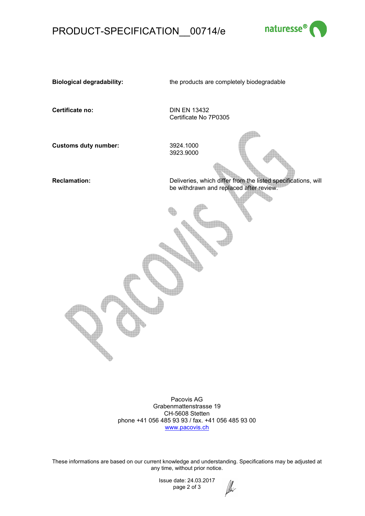# PRODUCT-SPECIFICATION\_\_00714/e



**Biological degradability:** the products are completely biodegradable

**Certificate no:** DIN EN 13432

Certificate No 7P0305

**Customs duty number:** 3924.1000 3923.9000

**Reclamation:** Deliveries, which differ from the listed specifications, will be withdrawn and replaced after review.

h

Pacovis AG Grabenmattenstrasse 19 CH-5608 Stetten phone +41 056 485 93 93 / fax. +41 056 485 93 00 www.pacovis.ch

These informations are based on our current knowledge and understanding. Specifications may be adjusted at any time, without prior notice.

*lll*li